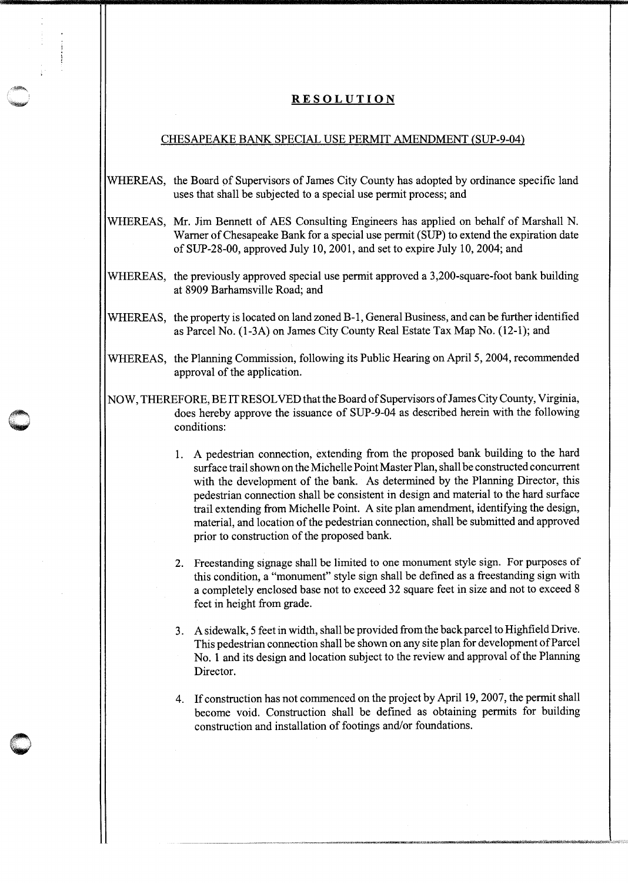## **RESOLUTION**

## CHESAPEAKE BANK SPECIAL USE PERMIT AMENDMENT (SUP-9-04)

- WHEREAS, the Board of Supervisors of James City County has adopted by ordinance specific land uses that shall be subjected to a special use permit process; and
- WHEREAS, Mr. Jim Bennett of AES Consulting Engineers has applied on behalf of Marshall N. Warner of Chesapeake Bank for a special use permit (SUP) to extend the expiration date of SUP-28-00, approved July 10, 2001, and set to expire July 10, 2004; and
- WHEREAS, the previously approved special use permit approved a 3,200-square-foot bank building at 8909 Barhamsville Road; and
- WHEREAS, the property is located on land zoned B-1, General Business, and can be further identified as Parcel No. (1-3A) on James City County Real Estate Tax Map No. (12-1); and
- WHEREAS, the Planning Commission, following its Public Hearing on April 5, 2004, recommended approval of the application.
- NOW, THEREFORE, BE IT RESOLVED that the Board of Supervisors of James City County, Virginia, does hereby approve the issuance of SUP-9-04 as described herein with the following conditions:
	- 1. A pedestrian connection, extending from the proposed bank building to the hard surface trail shown on the Michelle Point Master Plan, shall be constructed concurrent with the development of the bank. As determined by the Planning Director, this pedestrian connection shall be consistent in design and material to the hard surface trail extending from Michelle Point. A site plan amendment, identifying the design, material, and location of the pedestrian connection, shall be submitted and approved prior to construction of the proposed bank.
	- 2. Freestanding signage shall be limited to one monument style sign. For purposes of this condition, a "monument" style sign shall be defined as a freestanding sign with a completely enclosed base not to exceed 32 square feet in size and not to exceed 8 feet in height from grade.
	- 3. A sidewalk, 5 feet in width, shall be provided from the back parcel to Highfield Drive. This pedestrian connection shall be shown on any site plan for development of Parcel No. 1 and its design and location subject to the review and approval of the Planning Director.
	- 4. If construction has not commenced on the project by April 19, 2007, the permit shall become void. Construction shall be defined as obtaining permits for building construction and installation of footings and/or foundations.